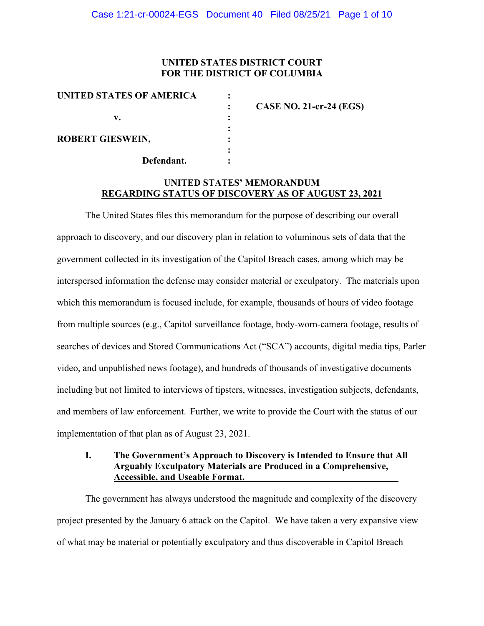# **UNITED STATES DISTRICT COURT FOR THE DISTRICT OF COLUMBIA**

| UNITED STATES OF AMERICA |                                |
|--------------------------|--------------------------------|
|                          | <b>CASE NO. 21-cr-24 (EGS)</b> |
| v.                       |                                |
|                          |                                |
| <b>ROBERT GIESWEIN,</b>  |                                |
|                          |                                |
| Defendant.               |                                |
|                          |                                |

# **UNITED STATES' MEMORANDUM REGARDING STATUS OF DISCOVERY AS OF AUGUST 23, 2021**

The United States files this memorandum for the purpose of describing our overall approach to discovery, and our discovery plan in relation to voluminous sets of data that the government collected in its investigation of the Capitol Breach cases, among which may be interspersed information the defense may consider material or exculpatory. The materials upon which this memorandum is focused include, for example, thousands of hours of video footage from multiple sources (e.g., Capitol surveillance footage, body-worn-camera footage, results of searches of devices and Stored Communications Act ("SCA") accounts, digital media tips, Parler video, and unpublished news footage), and hundreds of thousands of investigative documents including but not limited to interviews of tipsters, witnesses, investigation subjects, defendants, and members of law enforcement. Further, we write to provide the Court with the status of our implementation of that plan as of August 23, 2021.

### **I. The Government's Approach to Discovery is Intended to Ensure that All Arguably Exculpatory Materials are Produced in a Comprehensive, Accessible, and Useable Format.**

The government has always understood the magnitude and complexity of the discovery project presented by the January 6 attack on the Capitol. We have taken a very expansive view of what may be material or potentially exculpatory and thus discoverable in Capitol Breach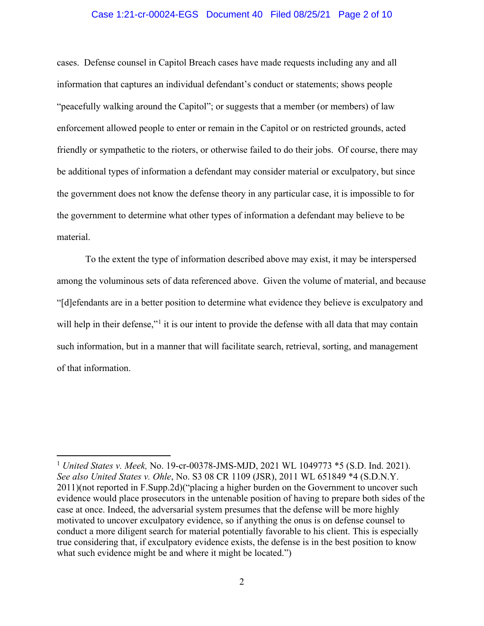### Case 1:21-cr-00024-EGS Document 40 Filed 08/25/21 Page 2 of 10

cases. Defense counsel in Capitol Breach cases have made requests including any and all information that captures an individual defendant's conduct or statements; shows people "peacefully walking around the Capitol"; or suggests that a member (or members) of law enforcement allowed people to enter or remain in the Capitol or on restricted grounds, acted friendly or sympathetic to the rioters, or otherwise failed to do their jobs. Of course, there may be additional types of information a defendant may consider material or exculpatory, but since the government does not know the defense theory in any particular case, it is impossible to for the government to determine what other types of information a defendant may believe to be material.

To the extent the type of information described above may exist, it may be interspersed among the voluminous sets of data referenced above. Given the volume of material, and because "[d]efendants are in a better position to determine what evidence they believe is exculpatory and will help in their defense,"<sup>1</sup> it is our intent to provide the defense with all data that may contain such information, but in a manner that will facilitate search, retrieval, sorting, and management of that information.

<sup>1</sup> *United States v. Meek,* No. 19-cr-00378-JMS-MJD, 2021 WL 1049773 \*5 (S.D. Ind. 2021). *See also United States v. Ohle*, No. S3 08 CR 1109 (JSR), 2011 WL 651849 \*4 (S.D.N.Y. 2011)(not reported in F.Supp.2d)("placing a higher burden on the Government to uncover such evidence would place prosecutors in the untenable position of having to prepare both sides of the case at once. Indeed, the adversarial system presumes that the defense will be more highly motivated to uncover exculpatory evidence, so if anything the onus is on defense counsel to conduct a more diligent search for material potentially favorable to his client. This is especially true considering that, if exculpatory evidence exists, the defense is in the best position to know what such evidence might be and where it might be located.")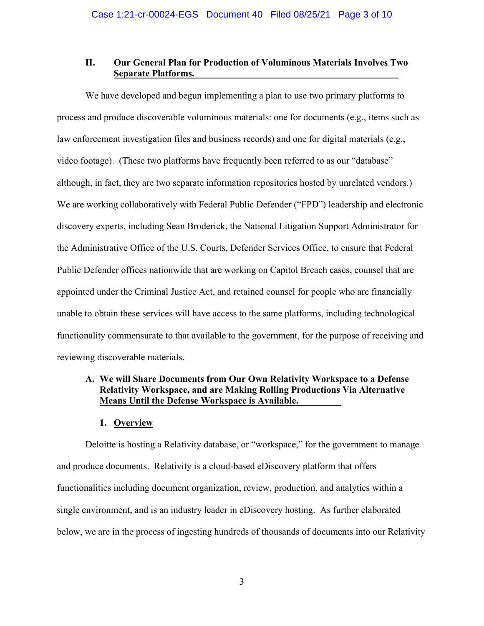## **II. Our General Plan for Production of Voluminous Materials Involves Two Separate Platforms.**

We have developed and begun implementing a plan to use two primary platforms to process and produce discoverable voluminous materials: one for documents (e.g., items such as law enforcement investigation files and business records) and one for digital materials (e.g., video footage). (These two platforms have frequently been referred to as our "database" although, in fact, they are two separate information repositories hosted by unrelated vendors.) We are working collaboratively with Federal Public Defender ("FPD") leadership and electronic discovery experts, including Sean Broderick, the National Litigation Support Administrator for the Administrative Office of the U.S. Courts, Defender Services Office, to ensure that Federal Public Defender offices nationwide that are working on Capitol Breach cases, counsel that are appointed under the Criminal Justice Act, and retained counsel for people who are financially unable to obtain these services will have access to the same platforms, including technological functionality commensurate to that available to the government, for the purpose of receiving and reviewing discoverable materials.

# **A. We will Share Documents from Our Own Relativity Workspace to a Defense Relativity Workspace, and are Making Rolling Productions Via Alternative Means Until the Defense Workspace is Available.**

### **1. Overview**

Deloitte is hosting a Relativity database, or "workspace," for the government to manage and produce documents. Relativity is a cloud-based eDiscovery platform that offers functionalities including document organization, review, production, and analytics within a single environment, and is an industry leader in eDiscovery hosting. As further elaborated below, we are in the process of ingesting hundreds of thousands of documents into our Relativity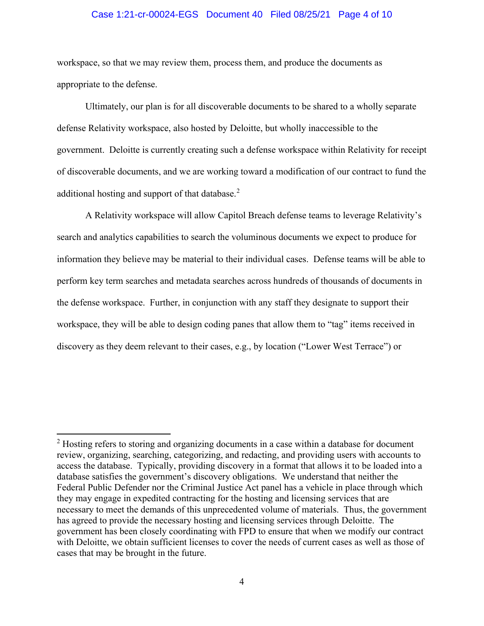#### Case 1:21-cr-00024-EGS Document 40 Filed 08/25/21 Page 4 of 10

workspace, so that we may review them, process them, and produce the documents as appropriate to the defense.

Ultimately, our plan is for all discoverable documents to be shared to a wholly separate defense Relativity workspace, also hosted by Deloitte, but wholly inaccessible to the government. Deloitte is currently creating such a defense workspace within Relativity for receipt of discoverable documents, and we are working toward a modification of our contract to fund the additional hosting and support of that database.<sup>2</sup>

A Relativity workspace will allow Capitol Breach defense teams to leverage Relativity's search and analytics capabilities to search the voluminous documents we expect to produce for information they believe may be material to their individual cases. Defense teams will be able to perform key term searches and metadata searches across hundreds of thousands of documents in the defense workspace. Further, in conjunction with any staff they designate to support their workspace, they will be able to design coding panes that allow them to "tag" items received in discovery as they deem relevant to their cases, e.g., by location ("Lower West Terrace") or

 $2$  Hosting refers to storing and organizing documents in a case within a database for document review, organizing, searching, categorizing, and redacting, and providing users with accounts to access the database. Typically, providing discovery in a format that allows it to be loaded into a database satisfies the government's discovery obligations. We understand that neither the Federal Public Defender nor the Criminal Justice Act panel has a vehicle in place through which they may engage in expedited contracting for the hosting and licensing services that are necessary to meet the demands of this unprecedented volume of materials. Thus, the government has agreed to provide the necessary hosting and licensing services through Deloitte. The government has been closely coordinating with FPD to ensure that when we modify our contract with Deloitte, we obtain sufficient licenses to cover the needs of current cases as well as those of cases that may be brought in the future.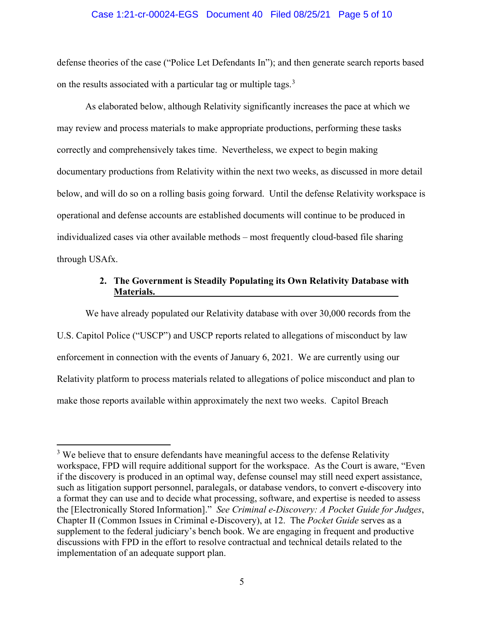#### Case 1:21-cr-00024-EGS Document 40 Filed 08/25/21 Page 5 of 10

defense theories of the case ("Police Let Defendants In"); and then generate search reports based on the results associated with a particular tag or multiple tags.<sup>3</sup>

As elaborated below, although Relativity significantly increases the pace at which we may review and process materials to make appropriate productions, performing these tasks correctly and comprehensively takes time. Nevertheless, we expect to begin making documentary productions from Relativity within the next two weeks, as discussed in more detail below, and will do so on a rolling basis going forward. Until the defense Relativity workspace is operational and defense accounts are established documents will continue to be produced in individualized cases via other available methods – most frequently cloud-based file sharing through USAfx.

# **2. The Government is Steadily Populating its Own Relativity Database with Materials.**

We have already populated our Relativity database with over 30,000 records from the U.S. Capitol Police ("USCP") and USCP reports related to allegations of misconduct by law enforcement in connection with the events of January 6, 2021. We are currently using our Relativity platform to process materials related to allegations of police misconduct and plan to make those reports available within approximately the next two weeks. Capitol Breach

<sup>&</sup>lt;sup>3</sup> We believe that to ensure defendants have meaningful access to the defense Relativity workspace, FPD will require additional support for the workspace. As the Court is aware, "Even if the discovery is produced in an optimal way, defense counsel may still need expert assistance, such as litigation support personnel, paralegals, or database vendors, to convert e-discovery into a format they can use and to decide what processing, software, and expertise is needed to assess the [Electronically Stored Information]." *See Criminal e-Discovery: A Pocket Guide for Judges*, Chapter II (Common Issues in Criminal e-Discovery), at 12.The *Pocket Guide* serves as a supplement to the federal judiciary's bench book. We are engaging in frequent and productive discussions with FPD in the effort to resolve contractual and technical details related to the implementation of an adequate support plan.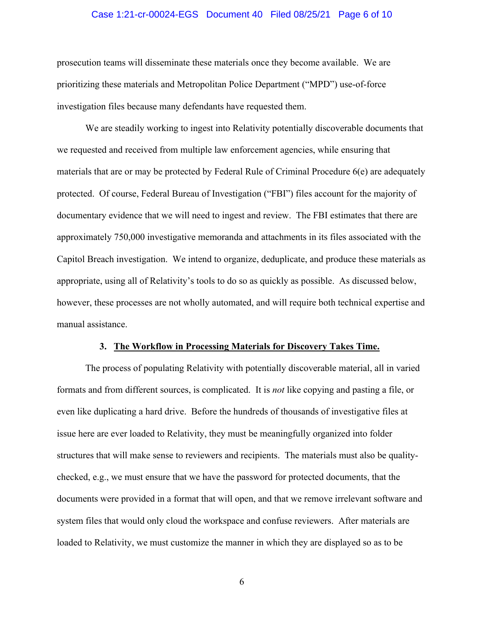### Case 1:21-cr-00024-EGS Document 40 Filed 08/25/21 Page 6 of 10

prosecution teams will disseminate these materials once they become available. We are prioritizing these materials and Metropolitan Police Department ("MPD") use-of-force investigation files because many defendants have requested them.

We are steadily working to ingest into Relativity potentially discoverable documents that we requested and received from multiple law enforcement agencies, while ensuring that materials that are or may be protected by Federal Rule of Criminal Procedure 6(e) are adequately protected. Of course, Federal Bureau of Investigation ("FBI") files account for the majority of documentary evidence that we will need to ingest and review. The FBI estimates that there are approximately 750,000 investigative memoranda and attachments in its files associated with the Capitol Breach investigation. We intend to organize, deduplicate, and produce these materials as appropriate, using all of Relativity's tools to do so as quickly as possible. As discussed below, however, these processes are not wholly automated, and will require both technical expertise and manual assistance.

#### **3. The Workflow in Processing Materials for Discovery Takes Time.**

The process of populating Relativity with potentially discoverable material, all in varied formats and from different sources, is complicated. It is *not* like copying and pasting a file, or even like duplicating a hard drive. Before the hundreds of thousands of investigative files at issue here are ever loaded to Relativity, they must be meaningfully organized into folder structures that will make sense to reviewers and recipients. The materials must also be qualitychecked, e.g., we must ensure that we have the password for protected documents, that the documents were provided in a format that will open, and that we remove irrelevant software and system files that would only cloud the workspace and confuse reviewers. After materials are loaded to Relativity, we must customize the manner in which they are displayed so as to be

6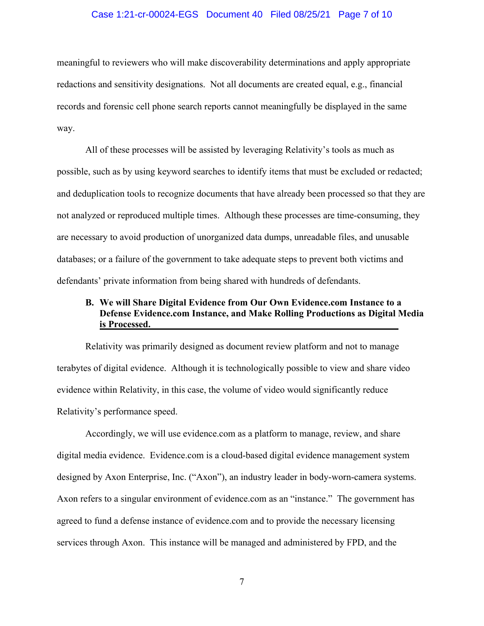#### Case 1:21-cr-00024-EGS Document 40 Filed 08/25/21 Page 7 of 10

meaningful to reviewers who will make discoverability determinations and apply appropriate redactions and sensitivity designations. Not all documents are created equal, e.g., financial records and forensic cell phone search reports cannot meaningfully be displayed in the same way.

All of these processes will be assisted by leveraging Relativity's tools as much as possible, such as by using keyword searches to identify items that must be excluded or redacted; and deduplication tools to recognize documents that have already been processed so that they are not analyzed or reproduced multiple times. Although these processes are time-consuming, they are necessary to avoid production of unorganized data dumps, unreadable files, and unusable databases; or a failure of the government to take adequate steps to prevent both victims and defendants' private information from being shared with hundreds of defendants.

# **B. We will Share Digital Evidence from Our Own Evidence.com Instance to a Defense Evidence.com Instance, and Make Rolling Productions as Digital Media is Processed.**

Relativity was primarily designed as document review platform and not to manage terabytes of digital evidence. Although it is technologically possible to view and share video evidence within Relativity, in this case, the volume of video would significantly reduce Relativity's performance speed.

Accordingly, we will use evidence.com as a platform to manage, review, and share digital media evidence. Evidence.com is a cloud-based digital evidence management system designed by Axon Enterprise, Inc. ("Axon"), an industry leader in body-worn-camera systems. Axon refers to a singular environment of evidence.com as an "instance." The government has agreed to fund a defense instance of evidence.com and to provide the necessary licensing services through Axon. This instance will be managed and administered by FPD, and the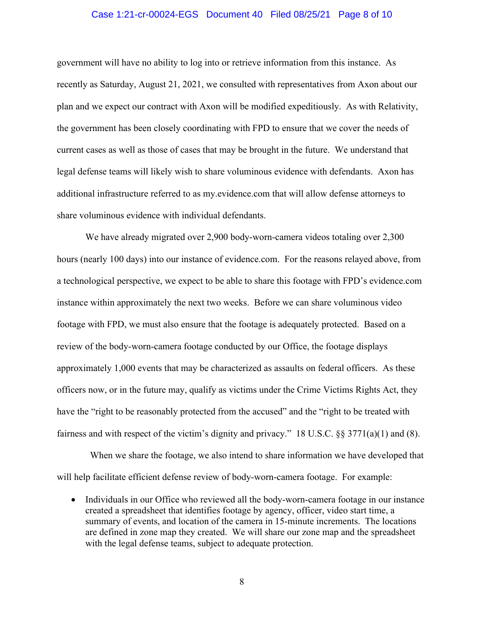#### Case 1:21-cr-00024-EGS Document 40 Filed 08/25/21 Page 8 of 10

government will have no ability to log into or retrieve information from this instance. As recently as Saturday, August 21, 2021, we consulted with representatives from Axon about our plan and we expect our contract with Axon will be modified expeditiously. As with Relativity, the government has been closely coordinating with FPD to ensure that we cover the needs of current cases as well as those of cases that may be brought in the future. We understand that legal defense teams will likely wish to share voluminous evidence with defendants. Axon has additional infrastructure referred to as my.evidence.com that will allow defense attorneys to share voluminous evidence with individual defendants.

We have already migrated over 2,900 body-worn-camera videos totaling over 2,300 hours (nearly 100 days) into our instance of evidence.com. For the reasons relayed above, from a technological perspective, we expect to be able to share this footage with FPD's evidence.com instance within approximately the next two weeks. Before we can share voluminous video footage with FPD, we must also ensure that the footage is adequately protected. Based on a review of the body-worn-camera footage conducted by our Office, the footage displays approximately 1,000 events that may be characterized as assaults on federal officers. As these officers now, or in the future may, qualify as victims under the Crime Victims Rights Act, they have the "right to be reasonably protected from the accused" and the "right to be treated with fairness and with respect of the victim's dignity and privacy." 18 U.S.C. §§ 3771(a)(1) and (8).

 When we share the footage, we also intend to share information we have developed that will help facilitate efficient defense review of body-worn-camera footage. For example:

• Individuals in our Office who reviewed all the body-worn-camera footage in our instance created a spreadsheet that identifies footage by agency, officer, video start time, a summary of events, and location of the camera in 15-minute increments. The locations are defined in zone map they created. We will share our zone map and the spreadsheet with the legal defense teams, subject to adequate protection.

8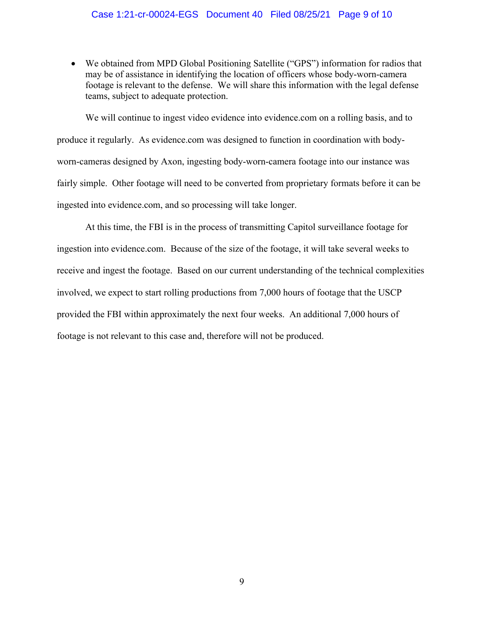### Case 1:21-cr-00024-EGS Document 40 Filed 08/25/21 Page 9 of 10

• We obtained from MPD Global Positioning Satellite ("GPS") information for radios that may be of assistance in identifying the location of officers whose body-worn-camera footage is relevant to the defense. We will share this information with the legal defense teams, subject to adequate protection.

We will continue to ingest video evidence into evidence.com on a rolling basis, and to produce it regularly. As evidence.com was designed to function in coordination with bodyworn-cameras designed by Axon, ingesting body-worn-camera footage into our instance was fairly simple. Other footage will need to be converted from proprietary formats before it can be ingested into evidence.com, and so processing will take longer.

At this time, the FBI is in the process of transmitting Capitol surveillance footage for ingestion into evidence.com. Because of the size of the footage, it will take several weeks to receive and ingest the footage. Based on our current understanding of the technical complexities involved, we expect to start rolling productions from 7,000 hours of footage that the USCP provided the FBI within approximately the next four weeks. An additional 7,000 hours of footage is not relevant to this case and, therefore will not be produced.